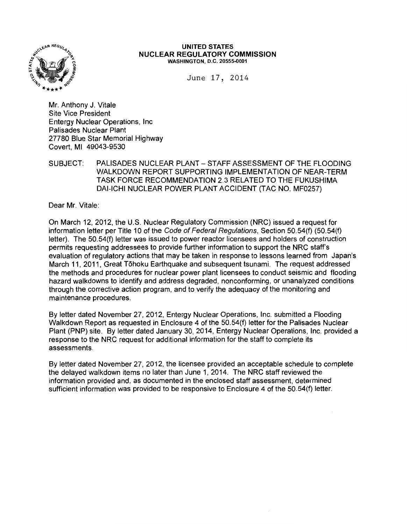

#### UNITED STATES NUCLEAR REGULATORY COMMISSION WASHINGTON, D.C. 20555-0001

June 17, 2014

Mr. Anthony J. Vitale Site Vice President Entergy Nuclear Operations, Inc Palisades Nuclear Plant 27780 Blue Star Memorial Highway Covert, Ml 49043-9530

SUBJECT: PALISADES NUCLEAR PLANT- STAFF ASSESSMENT OF THE FLOODING WALKDOWN REPORT SUPPORTING IMPLEMENTATION OF NEAR-TERM TASK FORCE RECOMMENDATION 2.3 RELATED TO THE FUKUSHIMA DAI-ICHI NUCLEAR POWER PLANT ACCIDENT (TAC NO. MF0257)

Dear Mr. Vitale:

On March 12, 2012, the U.S. Nuclear Regulatory Commission (NRC) issued a request for information letter per Title 10 of the Code of Federal Regulations, Section 50.54(f) (50.54(f) letter). The 50.54(f) letter was issued to power reactor licensees and holders of construction permits requesting addressees to provide further information to support the NRC staff's evaluation of regulatory actions that may be taken in response to lessons learned from Japan's March 11, 2011, Great Tohoku Earthquake and subsequent tsunami. The request addressed the methods and procedures for nuclear power plant licensees to conduct seismic and flooding hazard walkdowns to identify and address degraded, nonconforming, or unanalyzed conditions through the corrective action program, and to verify the adequacy of the monitoring and maintenance procedures.

By letter dated November 27, 2012, Entergy Nuclear Operations, Inc. submitted a Flooding Walkdown Report as requested in Enclosure 4 of the 50.54(f) letter for the Palisades Nuclear Plant (PNP) site. By letter dated January 30, 2014, Entergy Nuclear Operations, Inc. provided a response to the NRC request for additional information for the staff to complete its assessments.

By letter dated November 27, 2012, the licensee provided an acceptable schedule to complete the delayed walkdown items no later than June 1, 2014. The NRC staff reviewed the information provided and, as documented in the enclosed staff assessment, determined sufficient information was provided to be responsive to Enclosure 4 of the 50.54(f) letter.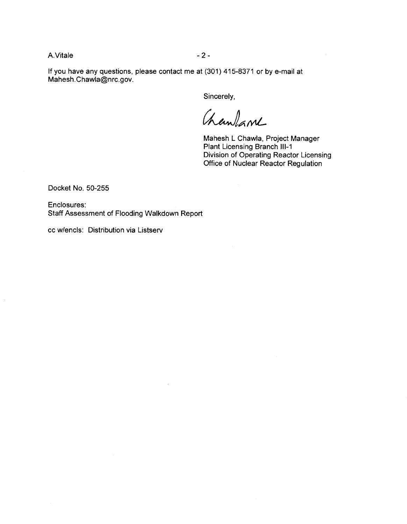A. Vitale - 2 -

If you have any questions, please contact me at (301) 415-8371 or by e-mail at Mahesh.Chawla@nrc.gov.

Sincerely,

Chanlane

Mahesh L Chawla, Project Manager Plant Licensing Branch 111-1 Division of Operating Reactor Licensing Office of Nuclear Reactor Regulation

Docket No. 50-255

Enclosures: Staff Assessment of Flooding Walkdown Report

cc w/encls: Distribution via Listserv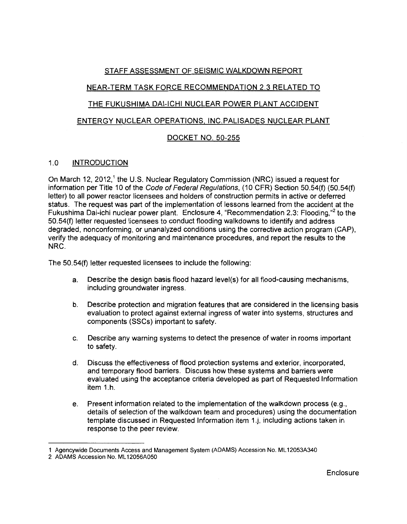# STAFF ASSESSMENT OF SEISMIC WALKDOWN REPORT

# NEAR-TERM TASK FORCE RECOMMENDATION 2.3 RELATED TO

# THE FUKUSHIMA DAI-ICHI NUCLEAR POWER PLANT ACCIDENT

# ENTERGY NUCLEAR OPERATIONS. INC.PALISADES NUCLEAR PLANT

# DOCKET NO. 50-255

### 1.0 INTRODUCTION

On March 12, 2012,<sup>1</sup> the U.S. Nuclear Regulatory Commission (NRC) issued a request for information per Title 10 of the Code of Federal Regulations, (10 CFR) Section 50.54(f) (50.54(f) letter) to all power reactor licensees and holders of construction permits in active or deferred status. The request was part of the implementation of lessons learned from the accident at the Fukushima Dai-ichi nuclear power plant. Enclosure 4, "Recommendation 2.3: Flooding,"2 to the 50.54(f) letter requested licensees to conduct flooding walkdowns to identify and address degraded, nonconforming, or unanalyzed conditions using the corrective action program (CAP), verify the adequacy of monitoring and maintenance procedures, and report the results to the NRC.

The 50.54(f) letter requested licensees to include the following:

- a. Describe the design basis flood hazard level(s) for all flood-causing mechanisms, including groundwater ingress.
- b. Describe protection and migration features that are considered in the licensing basis evaluation to protect against external ingress of water into systems, structures and components (SSCs) important to safety.
- c. Describe any warning systems to detect the presence of water in rooms important to safety.
- d. Discuss the effectiveness of flood protection systems and exterior, incorporated, and temporary flood barriers. Discuss how these systems and barriers were evaluated using the acceptance criteria developed as part of Requested Information item 1.h.
- e. Present information related to the implementation of the walkdown process (e.g., details of selection of the walkdown team and procedures) using the documentation template discussed in Requested Information item 1.j, including actions taken in response to the peer review.

<sup>1</sup> Agencywide Documents Access and Management System (ADAMS) Accession No. ML 12053A340

<sup>2</sup> ADAMS Accession No. ML 12056A050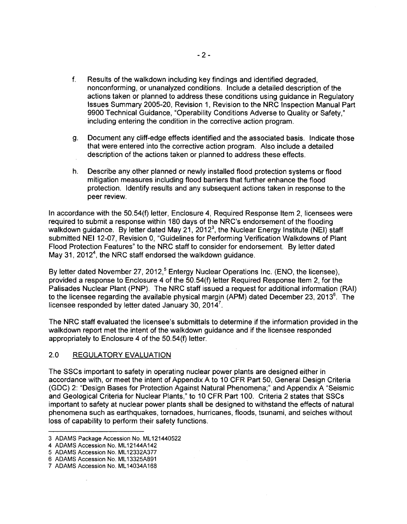- f. Results of the walkdown including key findings and identified degraded, nonconforming, or unanalyzed conditions. Include a detailed description of the actions taken or planned to address these conditions using guidance in Regulatory Issues Summary 2005-20, Revision 1, Revision to the NRC Inspection Manual Part 9900 Technical Guidance, "Operability Conditions Adverse to Quality or Safety," including entering the condition in the corrective action program.
- g. Document any cliff-edge effects identified and the associated basis. Indicate those that were entered into the corrective action program. Also include a detailed description of the actions taken or planned to address these effects.
- h. Describe any other planned or newly installed flood protection systems or flood mitigation measures including flood barriers that further enhance the flood protection. Identify results and any subsequent actions taken in response to the peer review.

In accordance with the 50.54(f) letter, Enclosure 4, Required Response Item 2, licensees were required to submit a response within 180 days of the NRC's endorsement of the flooding walkdown guidance. By letter dated May 21, 2012<sup>3</sup>, the Nuclear Energy Institute (NEI) staff submitted NEI 12-07, Revision 0, "Guidelines for Performing Verification Walkdowns of Plant Flood Protection Features" to the NRC staff to consider for endorsement. By letter dated May 31, 2012<sup>4</sup>, the NRC staff endorsed the walkdown guidance.

By letter dated November 27, 2012,<sup>5</sup> Entergy Nuclear Operations Inc. (ENO, the licensee), provided a response to Enclosure 4 of the 50.54(f) letter Required Response Item 2, for the Palisades Nuclear Plant (PNP). The NRC staff issued a request for additional information (RAI) to the licensee regarding the available physical margin (APM) dated December 23, 2013 $^{\circ}$ . The licensee responded by letter dated January 30, 2014<sup>7</sup>.

The NRC staff evaluated the licensee's submittals to determine if the information provided in the walkdown report met the intent of the walkdown guidance and if the licensee responded appropriately to Enclosure 4 of the 50.54(f) letter.

# 2.0 REGULATORY EVALUATION

The SSCs important to safety in operating nuclear power plants are designed either in accordance with, or meet the intent of Appendix A to 10 CFR Part 50, General Design Criteria (GDC) 2: "Design Bases for Protection Against Natural Phenomena;" and Appendix A "Seismic and Geological Criteria for Nuclear Plants," to 10 CFR Part 100. Criteria 2 states that SSCs important to safety at nuclear power plants shall be designed to withstand the effects of natural phenomena such as earthquakes, tornadoes, hurricanes, floods, tsunami, and seiches without loss of capability to perform their safety functions.

<sup>3</sup> ADAMS Package Accession No. ML 121440522

<sup>4</sup> ADAMS Accession No. ML12144A142

<sup>5</sup> ADAMS Accession No. ML 12332A377

<sup>6</sup> ADAMS Accession No. ML 13325A891

<sup>7</sup> ADAMS Accession No. ML 14034A168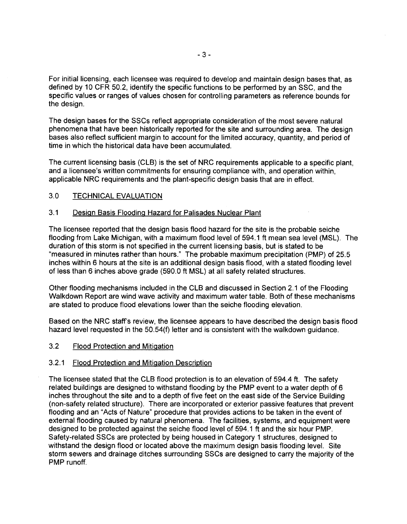For initial licensing, each licensee was required to develop and maintain design bases that, as defined by 10 CFR 50.2, identify the specific functions to be performed by an SSC, and the specific values or ranges of values chosen for controlling parameters as reference bounds for the design.

The design bases for the SSCs reflect appropriate consideration of the most severe natural phenomena that have been historically reported for the site and surrounding area. The design bases also reflect sufficient margin to account for the limited accuracy, quantity, and period of time in which the historical data have been accumulated.

The current licensing basis (CLB) is the set of NRC requirements applicable to a specific plant, and a licensee's written commitments for ensuring compliance with, and operation within, applicable NRC requirements and the plant-specific design basis that are in effect.

### 3.0 TECHNICAL EVALUATION

#### 3.1 Design Basis Flooding Hazard for Palisades Nuclear Plant

The licensee reported that the design basis flood hazard for the site is the probable seiche flooding from Lake Michigan, with a maximum flood level of 594.1 ft mean sea level (MSL). The duration of this storm is not specified in the current licensing basis, but is stated to be "measured in minutes rather than hours." The probable maximum precipitation (PMP) of 25.5 inches within 6 hours at the site is an additional design basis flood, with a stated flooding level of less than 6 inches above grade (590.0 ft MSL) at all safety related structures.

Other flooding mechanisms included in the CLB and discussed in Section 2.1 of the Flooding Walkdown Report are wind wave activity and maximum water table. Both of these mechanisms are stated to produce flood elevations lower than the seiche flooding elevation.

Based on the NRC staff's review, the licensee appears to have described the design basis flood hazard level requested in the 50.54(f) letter and is consistent with the walkdown guidance.

### 3.2 Flood Protection and Mitigation

#### 3.2.1 Flood Protection and Mitigation Description

The licensee stated that the CLB flood protection is to an elevation of 594.4 ft. The safety related buildings are designed to withstand flooding by the PMP event to a water depth of 6 inches throughout the site and to a depth of five feet on the east side of the Service Building (non-safety related structure). There are incorporated or exterior passive features that prevent flooding and an "Acts of Nature" procedure that provides actions to be taken in the event of external flooding caused by natural phenomena. The facilities, systems, and equipment were designed to be protected against the seiche flood level of 594.1 ft and the six hour PMP. Safety-related SSCs are protected by being housed in Category 1 structures, designed to withstand the design flood or located above the maximum design basis flooding level. Site storm sewers and drainage ditches surrounding SSCs are designed to carry the majority of the PMP runoff.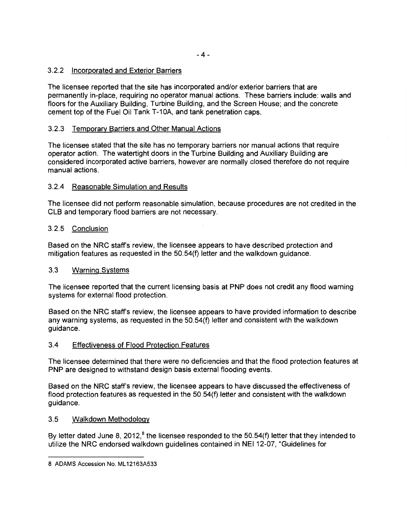# 3.2.2 Incorporated and Exterior Barriers

The licensee reported that the site has incorporated and/or exterior barriers that are permanently in-place, requiring no operator manual actions. These barriers include: walls and floors for the Auxiliary Building, Turbine Building, and the Screen House; and the concrete cement top of the Fuel Oil Tank T-10A, and tank penetration caps.

# 3.2.3 Temporary Barriers and Other Manual Actions

The licensee stated that the site has no temporary barriers nor manual actions that require operator action. The watertight doors in the Turbine Building and Auxiliary Building are considered incorporated active barriers, however are normally closed therefore do not require manual actions.

### 3.2.4 Reasonable Simulation and Results

The licensee did not perform reasonable simulation, because procedures are not credited in the CLB and temporary flood barriers are not necessary.

### 3.2.5 Conclusion

Based on the NRC staffs review, the licensee appears to have described protection and mitigation features as requested in the 50.54(f) letter and the walkdown guidance.

### 3.3 Warning Systems

The licensee reported that the current licensing basis at PNP does not credit any flood warning systems for external flood protection.

Based on the NRC staff's review, the licensee appears to have provided information to describe any warning systems, as requested in the 50.54(f) letter and consistent with the walkdown guidance.

### 3.4 Effectiveness of Flood Protection Features

The licensee determined that there were no deficiencies and that the flood protection features at PNP are designed to withstand design basis external flooding events.

Based on the NRC staff's review, the licensee appears to have discussed the effectiveness of flood protection features as requested in the 50.54(f) letter and consistent with the walkdown guidance.

### 3.5 Walkdown Methodology

By letter dated June 8, 2012, $^8$  the licensee responded to the 50.54(f) letter that they intended to utilize the NRC endorsed walkdown guidelines contained in NEI 12-07, "Guidelines for

<sup>8</sup> ADAMS Accession No. ML 12163A533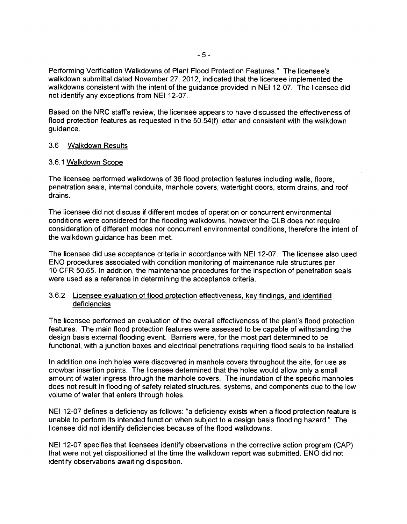Performing Verification Walkdowns of Plant Flood Protection Features." The licensee's walkdown submittal dated November 27, 2012, indicated that the licensee implemented the walkdowns consistent with the intent of the guidance provided in NEI 12-07. The licensee did not identify any exceptions from NEI 12-07.

Based on the NRC staff's review, the licensee appears to have discussed the effectiveness of flood protection features as requested in the 50.54(f) letter and consistent with the walkdown guidance.

#### 3.6 Walkdown Results

#### 3.6.1 Walkdown Scope

The licensee performed walkdowns of 36 flood protection features including walls, floors, penetration seals, internal conduits, manhole covers, watertight doors, storm drains, and roof drains.

The licensee did not discuss if different modes of operation or concurrent environmental conditions were considered for the flooding walkdowns, however the CLB does not require consideration of different modes nor concurrent environmental conditions, therefore the intent of the walkdown guidance has been met.

The licensee did use acceptance criteria in accordance with NEI 12-07. The licensee also used ENO procedures associated with condition monitoring of maintenance rule structures per 10 CFR 50.65. In addition, the maintenance procedures for the inspection of penetration seals were used as a reference in determining the acceptance criteria.

### 3.6.2 Licensee evaluation of flood protection effectiveness. key findings. and identified deficiencies

The licensee performed an evaluation of the overall effectiveness of the plant's flood protection features. The main flood protection features were assessed to be capable of withstanding the design basis external flooding event. Barriers were, for the most part determined to be functional, with a junction boxes and electrical penetrations requiring flood seals to be installed.

In addition one inch holes were discovered in manhole covers throughout the site, for use as crowbar insertion points. The licensee determined that the holes would allow only a small amount of water ingress through the manhole covers. The inundation of the specific manholes does not result in flooding of safety related structures, systems, and components due to the low volume of water that enters through holes.

NEI 12-07 defines a deficiency as follows: "a deficiency exists when a flood protection feature is unable to perform its intended function when subject to a design basis flooding hazard." The licensee did not identify deficiencies because of the flood walkdowns.

NEI 12-07 specifies that licensees identify observations in the corrective action program (CAP) that were not yet dispositioned at the time the walkdown report was submitted. ENO did not identify observations awaiting disposition.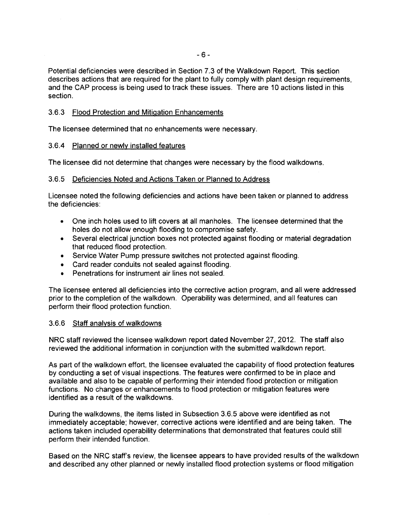Potential deficiencies were described in Section 7.3 of the Walkdown Report. This section describes actions that are required for the plant to fully comply with plant design requirements, and the CAP process is being used to track these issues. There are 10 actions listed in this section.

# 3.6.3 Flood Protection and Mitigation Enhancements

The licensee determined that no enhancements were necessary.

### 3.6.4 Planned or newly installed features

The licensee did not determine that changes were necessary by the flood walkdowns.

### 3.6.5 Deficiencies Noted and Actions Taken or Planned to Address

Licensee noted the following deficiencies and actions have been taken or planned to address the deficiencies:

- One inch holes used to lift covers at all manholes. The licensee determined that the holes do not allow enough flooding to compromise safety.
- Several electrical junction boxes not protected against flooding or material degradation that reduced flood protection.
- Service Water Pump pressure switches not protected against flooding.
- Card reader conduits not sealed against flooding.
- Penetrations for instrument air lines not sealed.

The licensee entered all deficiencies into the corrective action program, and all were addressed prior to the completion of the walkdown. Operability was determined, and all features can perform their flood protection function.

### 3.6.6 Staff analysis of walkdowns

NRC staff reviewed the licensee walkdown report dated November 27, 2012. The staff also reviewed the additional information in conjunction with the submitted walkdown report.

As part of the walkdown effort, the licensee evaluated the capability of flood protection features by conducting a set of visual inspections. The features were confirmed to be in place and available and also to be capable of performing their intended flood protection or mitigation functions. No changes or enhancements to flood protection or mitigation features were identified as a result of the walkdowns.

During the walkdowns, the items listed in Subsection 3.6.5 above were identified as not immediately acceptable; however, corrective actions were identified and are being taken. The actions taken included operability determinations that demonstrated that features could still perform their intended function.

Based on the NRC staff's review, the licensee appears to have provided results of the walkdown and described any other planned or newly installed flood protection systems or flood mitigation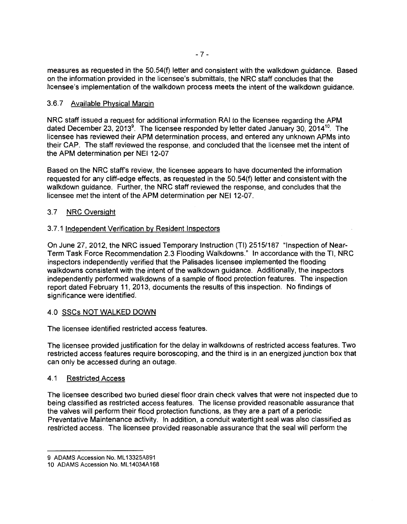measures as requested in the 50.54(f) letter and consistent with the walkdown guidance. Based on the information provided in the licensee's submittals, the NRC staff concludes that the licensee's implementation of the walkdown process meets the intent of the walkdown guidance.

# 3.6. 7 Available Physical Margin

NRC staff issued a request for additional information RAI to the licensee regarding the APM dated December 23, 2013<sup>9</sup>. The licensee responded by letter dated January 30, 2014<sup>10</sup>. The licensee has reviewed their APM determination process, and entered any unknown APMs into their CAP. The staff reviewed the response, and concluded that the licensee met the intent of the APM determination per NEI 12-07

Based on the NRC staff's review, the licensee appears to have documented the information requested for any cliff-edge effects, as requested in the 50.54(f) letter and consistent with the walkdown guidance. Further, the NRC staff reviewed the response, and concludes that the licensee met the intent of the APM determination per NEI 12-07.

# 3.7 NRC Oversight

# 3.7.1 Independent Verification by Resident Inspectors

On June 27, 2012, the NRC issued Temporary Instruction (TI) 2515/187 "Inspection of Near-Term Task Force Recommendation 2.3 Flooding Walkdowns." In accordance with the Tl, NRC inspectors independently verified that the Palisades licensee implemented the flooding walkdowns consistent with the intent of the walkdown guidance. Additionally, the inspectors independently performed walkdowns of a sample of flood protection features. The inspection report dated February 11, 2013, documents the results of this inspection. No findings of significance were identified.

# 4.0 SSCs NOT WALKED DOWN

The licensee identified restricted access features.

The licensee provided justification for the delay in walkdowns of restricted access features. Two restricted access features require boroscoping, and the third is in an energized junction box that can only be accessed during an outage.

### 4.1 Restricted Access

The licensee described two buried diesel floor drain check valves that were not inspected due to being classified as restricted access features. The license provided reasonable assurance that the valves will perform their flood protection functions, as they are a part of a periodic Preventative Maintenance activity. In addition, a conduit watertight seal was also classified as restricted access. The licensee provided reasonable assurance that the seal will perform the

<sup>9</sup> ADAMS Accession No. ML 13325A891

<sup>10</sup> ADAMS Accession No. ML 14034A168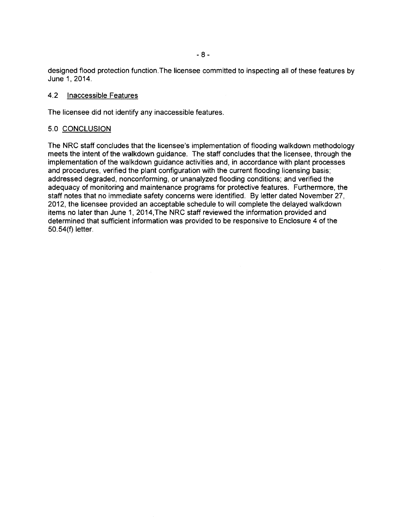designed flood protection function .The licensee committed to inspecting all of these features by June 1, 2014.

#### 4.2 Inaccessible Features

The licensee did not identify any inaccessible features.

#### 5.0 CONCLUSION

The NRC staff concludes that the licensee's implementation of flooding walkdown methodology meets the intent of the walkdown guidance. The staff concludes that the licensee, through the implementation of the walkdown guidance activities and, in accordance with plant processes and procedures, verified the plant configuration with the current flooding licensing basis; addressed degraded, nonconforming, or unanalyzed flooding conditions; and verified the adequacy of monitoring and maintenance programs for protective features. Furthermore, the staff notes that no immediate safety concerns were identified. By letter dated November 27, 2012, the licensee provided an acceptable schedule to will complete the delayed walkdown items no later than June 1, 2014,The NRC staff reviewed the information provided and determined that sufficient information was provided to be responsive to Enclosure 4 of the 50.54(f) letter.